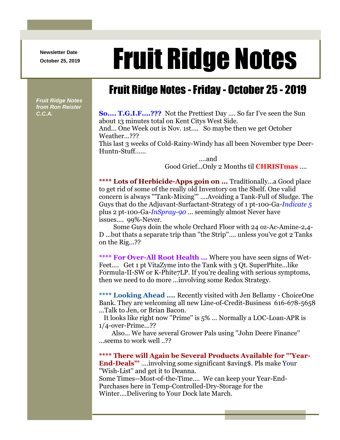**Newsletter Date**

## Newsletter Date **Fruit Ridge Notes**

## Fruit Ridge Notes -Friday - October 25 - 2019

*Fruit Ridge Notes from Ron Reister* 

**C.C.A. So.... T.G.I.F....???** Not the Prettiest Day .... So far I've seen the Sun about 13 minutes total on Kent Citys West Side.

And... One Week out is Nov. 1st.... So maybe then we get October Weather...???

This last 3 weeks of Cold-Rainy-Windy has all been November type Deer-Huntn-Stuff......

> ....and Good Grief...Only 2 Months til **CHRISTmas** ....

**\*\*\*\* Lots of Herbicide-Apps goin on ...** Traditionally...a Good place to get rid of some of the really old Inventory on the Shelf. One valid concern is always '''Tank-Mixing''' ....Avoiding a Tank-Full of Sludge. The Guys that do the Adjuvant-Surfactant-Strategy of 1 pt-100-Ga-*Indicate 5*  plus 2 pt-100-Ga-*InSpray-90* ... seemingly almost Never have issues.... 99%-Never.

Some Guys doin the whole Orchard Floor with 24 oz-Ac-Amine-2,4- D ...but thats a separate trip than ''the Strip''.... unless you've got 2 Tanks on the Rig...??

**\*\*\*\* For Over-All Root Health ...** Where you have seen signs of Wet-Feet.... Get 1 pt VitaZyme into the Tank with 3 Qt. SuperPhite...like Formula-II-SW or K-Phite7LP. If you're dealing with serious symptoms, then we need to do more ...involving some Redox Strategy.

**\*\*\*\* Looking Ahead ....** Recently visited with Jen Bellamy - ChoiceOne Bank. They are welcoming all new Line-of-Credit-Business 616-678-5658 ...Talk to Jen, or Brian Bacon.

It looks like right now ''Prime'' is 5% ... Normally a LOC-Loan-APR is 1/4-over-Prime...??

Also... We have several Grower Pals using ''John Deere Finance'' ...seems to work well ..??

**\*\*\*\* There will Again be Several Products Available for '''Year-End-Deals'''** ....involving some significant \$aving\$. Pls make Your ''Wish-List'' and get it to Deanna.

Some Times--Most-of-the-Time.... We can keep your Year-End-Purchases here in Temp-Controlled-Dry-Storage for the Winter....Delivering to Your Dock late March.